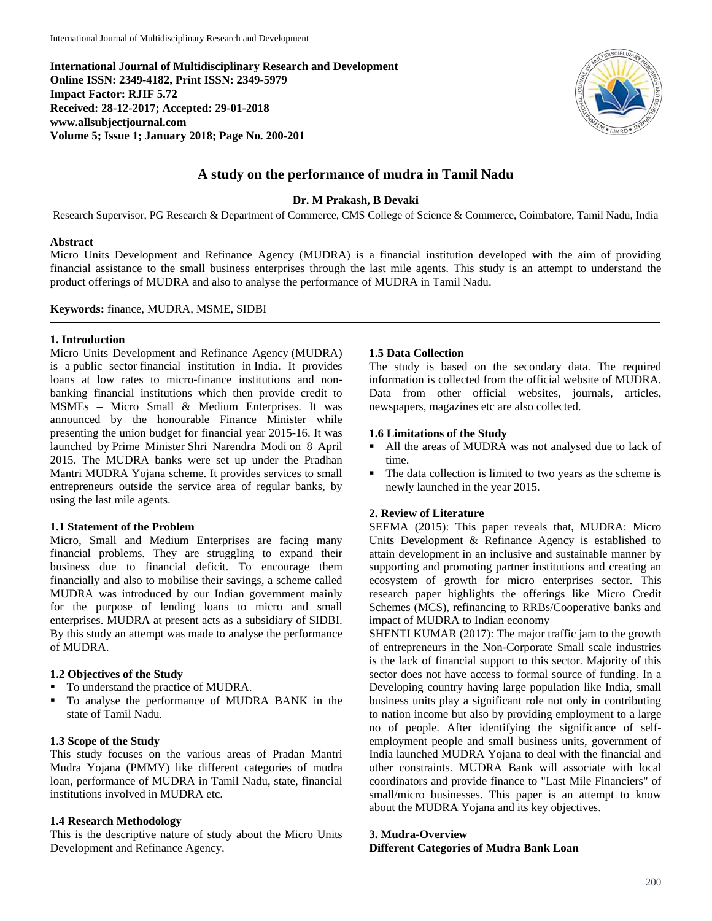**International Journal of Multidisciplinary Research and Development Online ISSN: 2349-4182, Print ISSN: 2349-5979 Impact Factor: RJIF 5.72 Received: 28-12-2017; Accepted: 29-01-2018 www.allsubjectjournal.com Volume 5; Issue 1; January 2018; Page No. 200-201**



# **A study on the performance of mudra in Tamil Nadu**

**Dr. M Prakash, B Devaki**

Research Supervisor, PG Research & Department of Commerce, CMS College of Science & Commerce, Coimbatore, Tamil Nadu, India

#### **Abstract**

Micro Units Development and Refinance Agency (MUDRA) is a financial institution developed with the aim of providing financial assistance to the small business enterprises through the last mile agents. This study is an attempt to understand the product offerings of MUDRA and also to analyse the performance of MUDRA in Tamil Nadu.

**Keywords:** finance, MUDRA, MSME, SIDBI

#### **1. Introduction**

Micro Units Development and Refinance Agency (MUDRA) is a public sector financial institution in India. It provides loans at low rates to micro-finance institutions and nonbanking financial institutions which then provide credit to MSMEs – Micro Small & Medium Enterprises. It was announced by the honourable Finance Minister while presenting the union budget for financial year 2015-16. It was launched by Prime Minister Shri Narendra Modi on 8 April 2015. The MUDRA banks were set up under the Pradhan Mantri MUDRA Yojana scheme. It provides services to small entrepreneurs outside the service area of regular banks, by using the last mile agents.

### **1.1 Statement of the Problem**

Micro, Small and Medium Enterprises are facing many financial problems. They are struggling to expand their business due to financial deficit. To encourage them financially and also to mobilise their savings, a scheme called MUDRA was introduced by our Indian government mainly for the purpose of lending loans to micro and small enterprises. MUDRA at present acts as a subsidiary of SIDBI. By this study an attempt was made to analyse the performance of MUDRA.

### **1.2 Objectives of the Study**

- To understand the practice of MUDRA.
- To analyse the performance of MUDRA BANK in the state of Tamil Nadu.

# **1.3 Scope of the Study**

This study focuses on the various areas of Pradan Mantri Mudra Yojana (PMMY) like different categories of mudra loan, performance of MUDRA in Tamil Nadu, state, financial institutions involved in MUDRA etc.

### **1.4 Research Methodology**

This is the descriptive nature of study about the Micro Units Development and Refinance Agency.

### **1.5 Data Collection**

The study is based on the secondary data. The required information is collected from the official website of MUDRA. Data from other official websites, journals, articles, newspapers, magazines etc are also collected.

### **1.6 Limitations of the Study**

- All the areas of MUDRA was not analysed due to lack of time.
- The data collection is limited to two years as the scheme is newly launched in the year 2015.

### **2. Review of Literature**

SEEMA (2015): This paper reveals that, MUDRA: Micro Units Development & Refinance Agency is established to attain development in an inclusive and sustainable manner by supporting and promoting partner institutions and creating an ecosystem of growth for micro enterprises sector. This research paper highlights the offerings like Micro Credit Schemes (MCS), refinancing to RRBs/Cooperative banks and impact of MUDRA to Indian economy

SHENTI KUMAR (2017): The major traffic jam to the growth of entrepreneurs in the Non-Corporate Small scale industries is the lack of financial support to this sector. Majority of this sector does not have access to formal source of funding. In a Developing country having large population like India, small business units play a significant role not only in contributing to nation income but also by providing employment to a large no of people. After identifying the significance of selfemployment people and small business units, government of India launched MUDRA Yojana to deal with the financial and other constraints. MUDRA Bank will associate with local coordinators and provide finance to "Last Mile Financiers" of small/micro businesses. This paper is an attempt to know about the MUDRA Yojana and its key objectives.

### **3. Mudra-Overview**

**Different Categories of Mudra Bank Loan**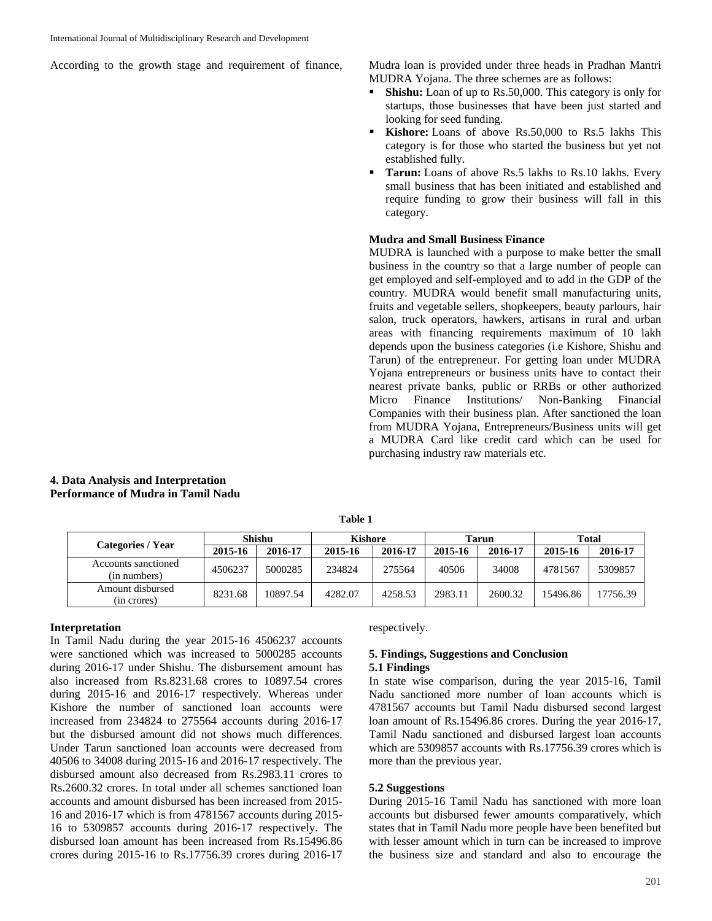According to the growth stage and requirement of finance, Mudra loan is provided under three heads in Pradhan Mantri

MUDRA Yojana. The three schemes are as follows:

- **Shishu:** Loan of up to Rs.50,000. This category is only for startups, those businesses that have been just started and looking for seed funding.
- **Kishore:** Loans of above Rs.50,000 to Rs.5 lakhs This category is for those who started the business but yet not established fully.
- **Tarun:** Loans of above Rs.5 lakhs to Rs.10 lakhs. Every small business that has been initiated and established and require funding to grow their business will fall in this category.

### **Mudra and Small Business Finance**

MUDRA is launched with a purpose to make better the small business in the country so that a large number of people can get employed and self-employed and to add in the GDP of the country. MUDRA would benefit small manufacturing units, fruits and vegetable sellers, shopkeepers, beauty parlours, hair salon, truck operators, hawkers, artisans in rural and urban areas with financing requirements maximum of 10 lakh depends upon the business categories (i.e Kishore, Shishu and Tarun) of the entrepreneur. For getting loan under MUDRA Yojana entrepreneurs or business units have to contact their nearest private banks, public or RRBs or other authorized<br>Micro Finance Institutions/ Non-Banking Financial Micro Finance Institutions/ Non-Banking Financial Companies with their business plan. After sanctioned the loan from MUDRA Yojana, Entrepreneurs/Business units will get a MUDRA Card like credit card which can be used for purchasing industry raw materials etc.

|  | Categories / Year                   | Shishu  |          | <b>Kishore</b> |         | <b>Tarun</b> |         | Total    |          |
|--|-------------------------------------|---------|----------|----------------|---------|--------------|---------|----------|----------|
|  |                                     | 2015-16 | 2016-17  | 2015-16        | 2016-17 | 2015-16      | 2016-17 | 2015-16  | 2016-17  |
|  | Accounts sanctioned<br>(in numbers) | 4506237 | 5000285  | 234824         | 275564  | 40506        | 34008   | 4781567  | 5309857  |
|  | Amount disbursed<br>(in crores)     | 8231.68 | 10897.54 | 4282.07        | 4258.53 | 2983.11      | 2600.32 | 15496.86 | 17756.39 |

**Table 1**

**4. Data Analysis and Interpretation Performance of Mudra in Tamil Nadu**

#### **Interpretation**

In Tamil Nadu during the year 2015-16 4506237 accounts were sanctioned which was increased to 5000285 accounts during 2016-17 under Shishu. The disbursement amount has also increased from Rs.8231.68 crores to 10897.54 crores during 2015-16 and 2016-17 respectively. Whereas under Kishore the number of sanctioned loan accounts were increased from 234824 to 275564 accounts during 2016-17 but the disbursed amount did not shows much differences. Under Tarun sanctioned loan accounts were decreased from 40506 to 34008 during 2015-16 and 2016-17 respectively. The disbursed amount also decreased from Rs.2983.11 crores to Rs.2600.32 crores. In total under all schemes sanctioned loan accounts and amount disbursed has been increased from 2015- 16 and 2016-17 which is from 4781567 accounts during 2015- 16 to 5309857 accounts during 2016-17 respectively. The disbursed loan amount has been increased from Rs.15496.86 crores during 2015-16 to Rs.17756.39 crores during 2016-17

respectively.

#### **5. Findings, Suggestions and Conclusion 5.1 Findings**

In state wise comparison, during the year 2015-16, Tamil Nadu sanctioned more number of loan accounts which is 4781567 accounts but Tamil Nadu disbursed second largest loan amount of Rs.15496.86 crores. During the year 2016-17, Tamil Nadu sanctioned and disbursed largest loan accounts which are 5309857 accounts with Rs.17756.39 crores which is more than the previous year.

#### **5.2 Suggestions**

During 2015-16 Tamil Nadu has sanctioned with more loan accounts but disbursed fewer amounts comparatively, which states that in Tamil Nadu more people have been benefited but with lesser amount which in turn can be increased to improve the business size and standard and also to encourage the